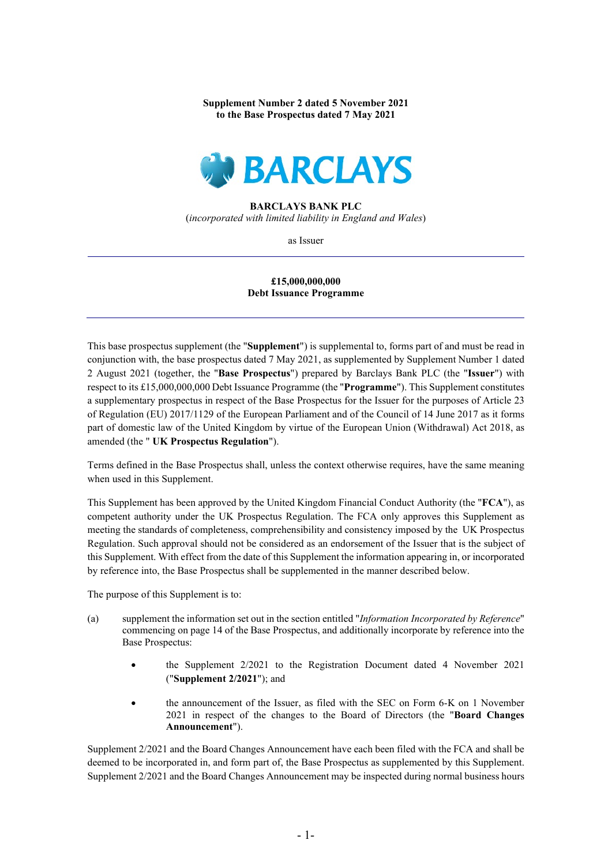**Supplement Number 2 dated 5 November 2021 to the Base Prospectus dated 7 May 2021**



## **BARCLAYS BANK PLC** (*incorporated with limited liability in England and Wales*)

as Issuer

## **£15,000,000,000 Debt Issuance Programme**

This base prospectus supplement (the "**Supplement**") is supplemental to, forms part of and must be read in conjunction with, the base prospectus dated 7 May 2021, as supplemented by Supplement Number 1 dated 2 August 2021 (together, the "**Base Prospectus**") prepared by Barclays Bank PLC (the "**Issuer**") with respect to its £15,000,000,000 Debt Issuance Programme (the "**Programme**"). This Supplement constitutes a supplementary prospectus in respect of the Base Prospectus for the Issuer for the purposes of Article 23 of Regulation (EU) 2017/1129 of the European Parliament and of the Council of 14 June 2017 as it forms part of domestic law of the United Kingdom by virtue of the European Union (Withdrawal) Act 2018, as amended (the " **UK Prospectus Regulation**").

Terms defined in the Base Prospectus shall, unless the context otherwise requires, have the same meaning when used in this Supplement.

This Supplement has been approved by the United Kingdom Financial Conduct Authority (the "**FCA**"), as competent authority under the UK Prospectus Regulation. The FCA only approves this Supplement as meeting the standards of completeness, comprehensibility and consistency imposed by the UK Prospectus Regulation. Such approval should not be considered as an endorsement of the Issuer that is the subject of this Supplement. With effect from the date of this Supplement the information appearing in, or incorporated by reference into, the Base Prospectus shall be supplemented in the manner described below.

The purpose of this Supplement is to:

- (a) supplement the information set out in the section entitled "*Information Incorporated by Reference*" commencing on page 14 of the Base Prospectus, and additionally incorporate by reference into the Base Prospectus:
	- the Supplement 2/2021 to the Registration Document dated 4 November 2021 ("**Supplement 2/2021**"); and
	- the announcement of the Issuer, as filed with the SEC on Form 6-K on 1 November 2021 in respect of the changes to the Board of Directors (the "**Board Changes Announcement**").

Supplement 2/2021 and the Board Changes Announcement have each been filed with the FCA and shall be deemed to be incorporated in, and form part of, the Base Prospectus as supplemented by this Supplement. Supplement 2/2021 and the Board Changes Announcement may be inspected during normal business hours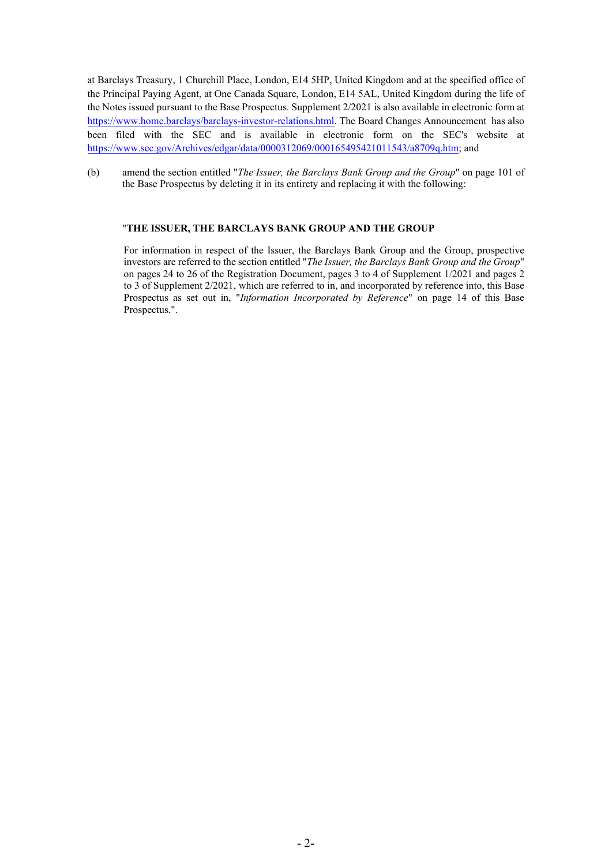at Barclays Treasury, 1 Churchill Place, London, E14 5HP, United Kingdom and at the specified office of the Principal Paying Agent, at One Canada Square, London, E14 5AL, United Kingdom during the life of the Notes issued pursuant to the Base Prospectus. Supplement 2/2021 is also available in electronic form at [https://www.home.barclays/barclays-investor-relations.html.](https://www.home.barclays/barclays-investor-relations.html) The Board Changes Announcement has also been filed with the SEC and is available in electronic form on the SEC's website at [https://www.sec.gov/Archives/edgar/data/0000312069/000165495421011543/a8709q.htm;](https://www.sec.gov/Archives/edgar/data/0000312069/000165495421011543/a8709q.htm) and

(b) amend the section entitled "*The Issuer, the Barclays Bank Group and the Group*" on page 101 of the Base Prospectus by deleting it in its entirety and replacing it with the following:

## "**THE ISSUER, THE BARCLAYS BANK GROUP AND THE GROUP**

For information in respect of the Issuer, the Barclays Bank Group and the Group, prospective investors are referred to the section entitled "*The Issuer, the Barclays Bank Group and the Group*" on pages 24 to 26 of the Registration Document, pages 3 to 4 of Supplement 1/2021 and pages 2 to 3 of Supplement 2/2021, which are referred to in, and incorporated by reference into, this Base Prospectus as set out in, "*Information Incorporated by Reference*" on page 14 of this Base Prospectus.".